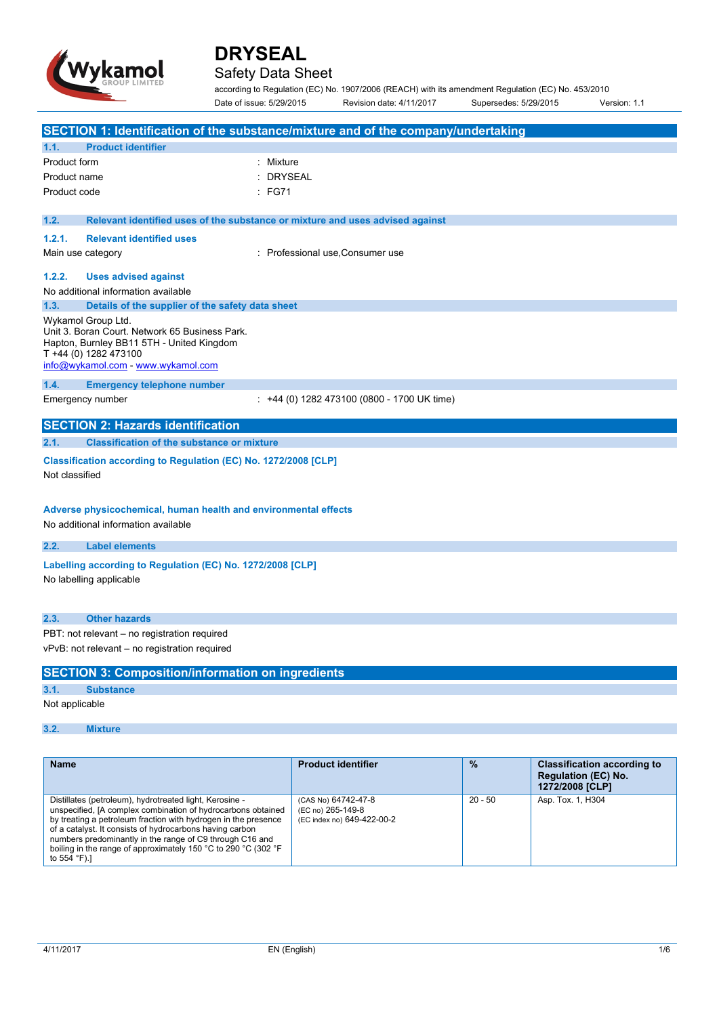

## Safety Data Sheet

according to Regulation (EC) No. 1907/2006 (REACH) with its amendment Regulation (EC) No. 453/2010 Date of issue: 5/29/2015 Revision date: 4/11/2017 Supersedes: 5/29/2015 Version: 1.1

| SECTION 1: Identification of the substance/mixture and of the company/undertaking                                                                                                         |                                                                        |           |                                                                                     |  |
|-------------------------------------------------------------------------------------------------------------------------------------------------------------------------------------------|------------------------------------------------------------------------|-----------|-------------------------------------------------------------------------------------|--|
| 1.1.<br><b>Product identifier</b>                                                                                                                                                         |                                                                        |           |                                                                                     |  |
| Product form<br>: Mixture                                                                                                                                                                 |                                                                        |           |                                                                                     |  |
| Product name                                                                                                                                                                              | <b>DRYSEAL</b>                                                         |           |                                                                                     |  |
| :FG71<br>Product code                                                                                                                                                                     |                                                                        |           |                                                                                     |  |
| 1.2.<br>Relevant identified uses of the substance or mixture and uses advised against                                                                                                     |                                                                        |           |                                                                                     |  |
| <b>Relevant identified uses</b><br>1.2.1.                                                                                                                                                 |                                                                        |           |                                                                                     |  |
| Main use category                                                                                                                                                                         | : Professional use, Consumer use                                       |           |                                                                                     |  |
| 1.2.2.<br><b>Uses advised against</b>                                                                                                                                                     |                                                                        |           |                                                                                     |  |
| No additional information available                                                                                                                                                       |                                                                        |           |                                                                                     |  |
| 1.3.<br>Details of the supplier of the safety data sheet                                                                                                                                  |                                                                        |           |                                                                                     |  |
| Wykamol Group Ltd.<br>Unit 3. Boran Court. Network 65 Business Park.<br>Hapton, Burnley BB11 5TH - United Kingdom<br>T +44 (0) 1282 473100<br>info@wykamol.com - www.wykamol.com          |                                                                        |           |                                                                                     |  |
| <b>Emergency telephone number</b><br>1.4.                                                                                                                                                 |                                                                        |           |                                                                                     |  |
| Emergency number                                                                                                                                                                          | : +44 (0) 1282 473100 (0800 - 1700 UK time)                            |           |                                                                                     |  |
| <b>SECTION 2: Hazards identification</b>                                                                                                                                                  |                                                                        |           |                                                                                     |  |
| 2.1.<br><b>Classification of the substance or mixture</b>                                                                                                                                 |                                                                        |           |                                                                                     |  |
| Classification according to Regulation (EC) No. 1272/2008 [CLP]                                                                                                                           |                                                                        |           |                                                                                     |  |
| Not classified                                                                                                                                                                            |                                                                        |           |                                                                                     |  |
| Adverse physicochemical, human health and environmental effects<br>No additional information available                                                                                    |                                                                        |           |                                                                                     |  |
| 2.2.<br><b>Label elements</b>                                                                                                                                                             |                                                                        |           |                                                                                     |  |
| Labelling according to Regulation (EC) No. 1272/2008 [CLP]<br>No labelling applicable                                                                                                     |                                                                        |           |                                                                                     |  |
| 2.3.<br><b>Other hazards</b>                                                                                                                                                              |                                                                        |           |                                                                                     |  |
| PBT: not relevant - no registration required                                                                                                                                              |                                                                        |           |                                                                                     |  |
| vPvB: not relevant - no registration required                                                                                                                                             |                                                                        |           |                                                                                     |  |
| <b>SECTION 3: Composition/information on ingredients</b>                                                                                                                                  |                                                                        |           |                                                                                     |  |
| 3.1.<br><b>Substance</b>                                                                                                                                                                  |                                                                        |           |                                                                                     |  |
| Not applicable                                                                                                                                                                            |                                                                        |           |                                                                                     |  |
| 3.2.<br><b>Mixture</b>                                                                                                                                                                    |                                                                        |           |                                                                                     |  |
|                                                                                                                                                                                           |                                                                        |           |                                                                                     |  |
| <b>Name</b>                                                                                                                                                                               | <b>Product identifier</b>                                              | %         | <b>Classification according to</b><br><b>Regulation (EC) No.</b><br>1272/2008 [CLP] |  |
| Distillates (petroleum), hydrotreated light, Kerosine -<br>unspecified, [A complex combination of hydrocarbons obtained<br>by treating a petroleum fraction with hydrogen in the presence | (CAS No) 64742-47-8<br>(EC no) 265-149-8<br>(EC index no) 649-422-00-2 | $20 - 50$ | Asp. Tox. 1, H304                                                                   |  |

to 554 °F).]

of a catalyst. It consists of hydrocarbons having carbon numbers predominantly in the range of C9 through C16 and boiling in the range of approximately 150 °C to 290 °C (302 °F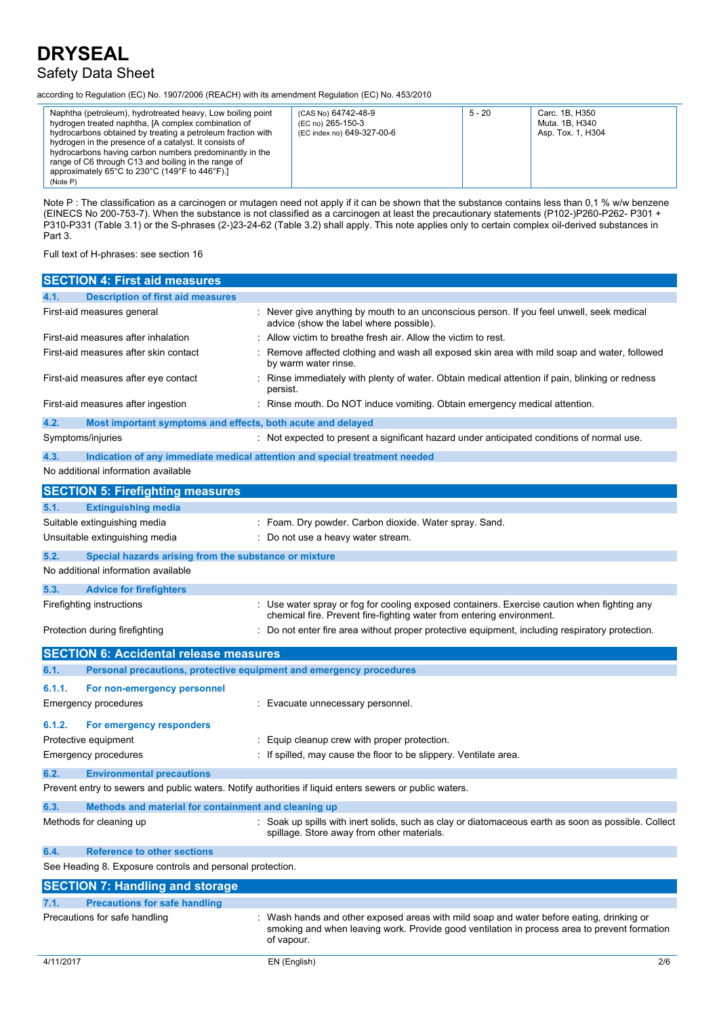## Safety Data Sheet

according to Regulation (EC) No. 1907/2006 (REACH) with its amendment Regulation (EC) No. 453/2010

| Naphtha (petroleum), hydrotreated heavy, Low boiling point<br>hydrogen treated naphtha, [A complex combination of<br>hydrocarbons obtained by treating a petroleum fraction with<br>hydrogen in the presence of a catalyst. It consists of<br>hydrocarbons having carbon numbers predominantly in the<br>range of C6 through C13 and boiling in the range of<br>approximately 65 $^{\circ}$ C to 230 $^{\circ}$ C (149 $^{\circ}$ F to 446 $^{\circ}$ F).]<br>(Note P) | (CAS No) 64742-48-9<br>(EC no) 265-150-3<br>(EC index no) 649-327-00-6 | $5 - 20$ | Carc. 1B. H350<br>Muta. 1B, H340<br>Asp. Tox. 1, H304 |
|------------------------------------------------------------------------------------------------------------------------------------------------------------------------------------------------------------------------------------------------------------------------------------------------------------------------------------------------------------------------------------------------------------------------------------------------------------------------|------------------------------------------------------------------------|----------|-------------------------------------------------------|
|------------------------------------------------------------------------------------------------------------------------------------------------------------------------------------------------------------------------------------------------------------------------------------------------------------------------------------------------------------------------------------------------------------------------------------------------------------------------|------------------------------------------------------------------------|----------|-------------------------------------------------------|

Note P : The classification as a carcinogen or mutagen need not apply if it can be shown that the substance contains less than 0,1 % w/w benzene (EINECS No 200-753-7). When the substance is not classified as a carcinogen at least the precautionary statements (P102-)P260-P262- P301 + P310-P331 (Table 3.1) or the S-phrases (2-)23-24-62 (Table 3.2) shall apply. This note applies only to certain complex oil-derived substances in Part 3.

Full text of H-phrases: see section 16

|        | <b>SECTION 4: First aid measures</b>                                       |                                                                                                                                                                                                      |
|--------|----------------------------------------------------------------------------|------------------------------------------------------------------------------------------------------------------------------------------------------------------------------------------------------|
| 4.1.   | <b>Description of first aid measures</b>                                   |                                                                                                                                                                                                      |
|        | First-aid measures general                                                 | Never give anything by mouth to an unconscious person. If you feel unwell, seek medical<br>advice (show the label where possible).                                                                   |
|        | First-aid measures after inhalation                                        | Allow victim to breathe fresh air. Allow the victim to rest.                                                                                                                                         |
|        | First-aid measures after skin contact                                      | Remove affected clothing and wash all exposed skin area with mild soap and water, followed<br>by warm water rinse.                                                                                   |
|        | First-aid measures after eye contact                                       | Rinse immediately with plenty of water. Obtain medical attention if pain, blinking or redness<br>persist.                                                                                            |
|        | First-aid measures after ingestion                                         | : Rinse mouth. Do NOT induce vomiting. Obtain emergency medical attention.                                                                                                                           |
| 4.2.   | Most important symptoms and effects, both acute and delayed                |                                                                                                                                                                                                      |
|        | Symptoms/injuries                                                          | : Not expected to present a significant hazard under anticipated conditions of normal use.                                                                                                           |
| 4.3.   | Indication of any immediate medical attention and special treatment needed |                                                                                                                                                                                                      |
|        | No additional information available                                        |                                                                                                                                                                                                      |
|        | <b>SECTION 5: Firefighting measures</b>                                    |                                                                                                                                                                                                      |
| 5.1.   | <b>Extinguishing media</b>                                                 |                                                                                                                                                                                                      |
|        | Suitable extinguishing media                                               | : Foam. Dry powder. Carbon dioxide. Water spray. Sand.                                                                                                                                               |
|        | Unsuitable extinguishing media                                             | : Do not use a heavy water stream.                                                                                                                                                                   |
| 5.2.   | Special hazards arising from the substance or mixture                      |                                                                                                                                                                                                      |
|        | No additional information available                                        |                                                                                                                                                                                                      |
| 5.3.   | <b>Advice for firefighters</b>                                             |                                                                                                                                                                                                      |
|        | Firefighting instructions                                                  | : Use water spray or fog for cooling exposed containers. Exercise caution when fighting any                                                                                                          |
|        |                                                                            | chemical fire. Prevent fire-fighting water from entering environment.                                                                                                                                |
|        | Protection during firefighting                                             | Do not enter fire area without proper protective equipment, including respiratory protection.                                                                                                        |
|        | <b>SECTION 6: Accidental release measures</b>                              |                                                                                                                                                                                                      |
| 6.1.   | Personal precautions, protective equipment and emergency procedures        |                                                                                                                                                                                                      |
| 6.1.1. | For non-emergency personnel                                                |                                                                                                                                                                                                      |
|        | Emergency procedures                                                       | : Evacuate unnecessary personnel.                                                                                                                                                                    |
| 6.1.2. | For emergency responders                                                   |                                                                                                                                                                                                      |
|        | Protective equipment                                                       | Equip cleanup crew with proper protection.                                                                                                                                                           |
|        | <b>Emergency procedures</b>                                                | If spilled, may cause the floor to be slippery. Ventilate area.                                                                                                                                      |
| 6.2.   | <b>Environmental precautions</b>                                           |                                                                                                                                                                                                      |
|        |                                                                            | Prevent entry to sewers and public waters. Notify authorities if liquid enters sewers or public waters.                                                                                              |
| 6.3.   | Methods and material for containment and cleaning up                       |                                                                                                                                                                                                      |
|        | Methods for cleaning up                                                    | Soak up spills with inert solids, such as clay or diatomaceous earth as soon as possible. Collect<br>spillage. Store away from other materials.                                                      |
| 6.4.   | <b>Reference to other sections</b>                                         |                                                                                                                                                                                                      |
|        | See Heading 8. Exposure controls and personal protection.                  |                                                                                                                                                                                                      |
|        | <b>SECTION 7: Handling and storage</b>                                     |                                                                                                                                                                                                      |
| 7.1.   | <b>Precautions for safe handling</b>                                       |                                                                                                                                                                                                      |
|        | Precautions for safe handling                                              | Wash hands and other exposed areas with mild soap and water before eating, drinking or<br>smoking and when leaving work. Provide good ventilation in process area to prevent formation<br>of vapour. |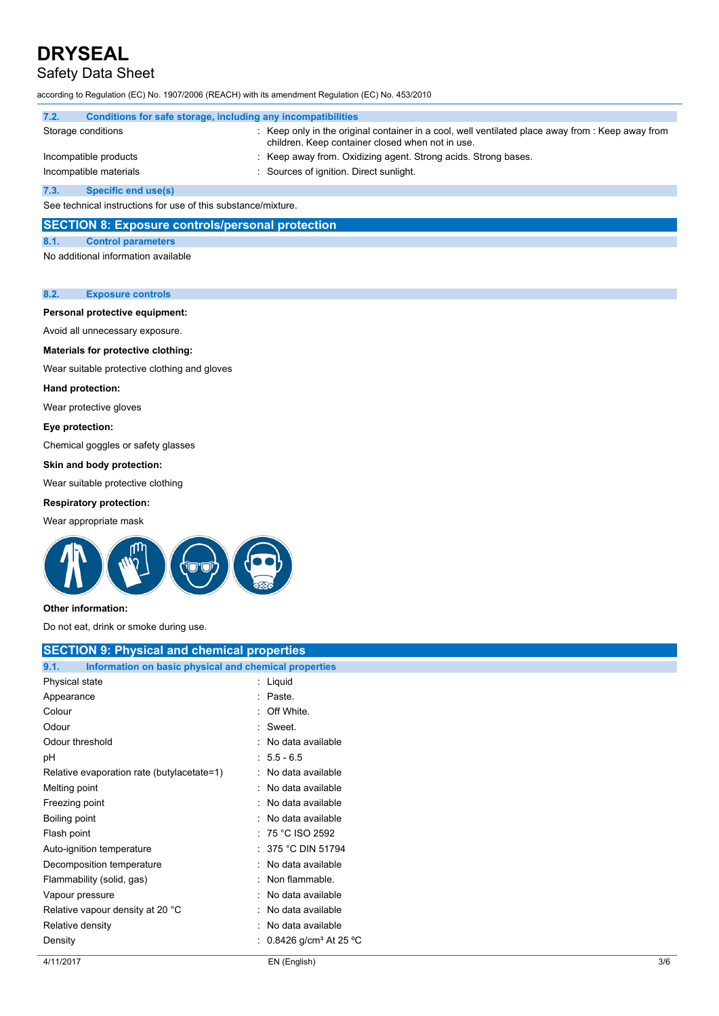# Safety Data Sheet

according to Regulation (EC) No. 1907/2006 (REACH) with its amendment Regulation (EC) No. 453/2010

| 7.2.                                                          | Conditions for safe storage, including any incompatibilities |  |                                                                                                                                                     |
|---------------------------------------------------------------|--------------------------------------------------------------|--|-----------------------------------------------------------------------------------------------------------------------------------------------------|
| Storage conditions                                            |                                                              |  | Keep only in the original container in a cool, well ventilated place away from : Keep away from<br>children. Keep container closed when not in use. |
|                                                               | Incompatible products                                        |  | : Keep away from. Oxidizing agent. Strong acids. Strong bases.                                                                                      |
|                                                               | Incompatible materials                                       |  | : Sources of ignition. Direct sunlight.                                                                                                             |
| 7.3.                                                          | Specific end use(s)                                          |  |                                                                                                                                                     |
| See technical instructions for use of this substance/mixture. |                                                              |  |                                                                                                                                                     |

### **SECTION 8: Exposure controls/personal protection**

### **8.1. Control parameters**

No additional information available

#### **8.2. Exposure controls**

## **Personal protective equipment:**

Avoid all unnecessary exposure.

#### **Materials for protective clothing:**

Wear suitable protective clothing and gloves

#### **Hand protection:**

Wear protective gloves

#### **Eye protection:**

Chemical goggles or safety glasses

#### **Skin and body protection:**

Wear suitable protective clothing

## **Respiratory protection:**

Wear appropriate mask



#### **Other information:**

Do not eat, drink or smoke during use.

| <b>SECTION 9: Physical and chemical properties</b>            |                                   |  |
|---------------------------------------------------------------|-----------------------------------|--|
| Information on basic physical and chemical properties<br>9.1. |                                   |  |
| Physical state                                                | $:$ Liquid                        |  |
| Appearance                                                    | : Paste.                          |  |
| Colour                                                        | Off White.                        |  |
| Odour                                                         | : Sweet.                          |  |
| Odour threshold                                               | : No data available               |  |
| рH                                                            | $: 5.5 - 6.5$                     |  |
| Relative evaporation rate (butylacetate=1)                    | : No data available               |  |
| Melting point                                                 | No data available                 |  |
| Freezing point                                                | : No data available               |  |
| Boiling point                                                 | : No data available               |  |
| Flash point                                                   | $: 75 °C$ ISO 2592                |  |
| Auto-ignition temperature                                     | 375 °C DIN 51794                  |  |
| Decomposition temperature                                     | : No data available               |  |
| Flammability (solid, gas)                                     | Non flammable.                    |  |
| Vapour pressure                                               | : No data available               |  |
| Relative vapour density at 20 °C                              | No data available                 |  |
| Relative density                                              | No data available                 |  |
| Density                                                       | 0.8426 g/cm <sup>3</sup> At 25 °C |  |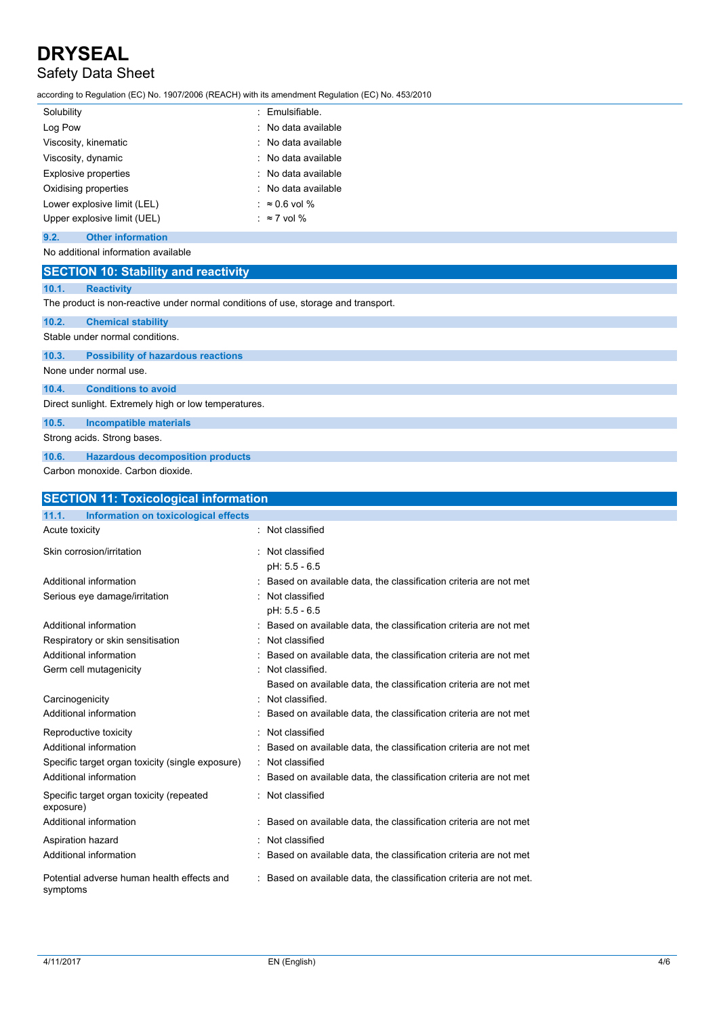# Safety Data Sheet

according to Regulation (EC) No. 1907/2006 (REACH) with its amendment Regulation (EC) No. 453/2010

| Solubility                  | : Emulsifiable.       |
|-----------------------------|-----------------------|
| Log Pow                     | : No data available   |
| Viscosity, kinematic        | : No data available   |
| Viscosity, dynamic          | : No data available   |
| <b>Explosive properties</b> | : No data available   |
| Oxidising properties        | : No data available   |
| Lower explosive limit (LEL) | : $\approx$ 0.6 vol % |
| Upper explosive limit (UEL) | : $\approx$ 7 vol %   |

### **9.2. Other information**

## No additional information available

|       | <b>SECTION 10: Stability and reactivity</b>                                        |  |  |  |  |  |
|-------|------------------------------------------------------------------------------------|--|--|--|--|--|
| 10.1. | <b>Reactivity</b>                                                                  |  |  |  |  |  |
|       | The product is non-reactive under normal conditions of use, storage and transport. |  |  |  |  |  |
| 10.2. | <b>Chemical stability</b>                                                          |  |  |  |  |  |
|       | Stable under normal conditions.                                                    |  |  |  |  |  |
| 10.3. | <b>Possibility of hazardous reactions</b>                                          |  |  |  |  |  |
|       | None under normal use.                                                             |  |  |  |  |  |
| 10.4. | <b>Conditions to avoid</b>                                                         |  |  |  |  |  |
|       | Direct sunlight. Extremely high or low temperatures.                               |  |  |  |  |  |
| 10.5. | Incompatible materials                                                             |  |  |  |  |  |
|       | Strong acids. Strong bases.                                                        |  |  |  |  |  |
| 10.6. | <b>Hazardous decomposition products</b>                                            |  |  |  |  |  |

Carbon monoxide. Carbon dioxide.

| <b>SECTION 11: Toxicological information</b>           |                                                                     |  |
|--------------------------------------------------------|---------------------------------------------------------------------|--|
| 11.1.<br>Information on toxicological effects          |                                                                     |  |
| Acute toxicity                                         | : Not classified                                                    |  |
| Skin corrosion/irritation                              | Not classified<br>$pH: 5.5 - 6.5$                                   |  |
| Additional information                                 | Based on available data, the classification criteria are not met    |  |
| Serious eye damage/irritation                          | Not classified<br>$pH: 5.5 - 6.5$                                   |  |
| Additional information                                 | Based on available data, the classification criteria are not met    |  |
| Respiratory or skin sensitisation                      | Not classified                                                      |  |
| Additional information                                 | Based on available data, the classification criteria are not met    |  |
| Germ cell mutagenicity                                 | Not classified.                                                     |  |
|                                                        | Based on available data, the classification criteria are not met    |  |
| Carcinogenicity                                        | Not classified.                                                     |  |
| Additional information                                 | Based on available data, the classification criteria are not met    |  |
| Reproductive toxicity                                  | Not classified                                                      |  |
| Additional information                                 | Based on available data, the classification criteria are not met    |  |
| Specific target organ toxicity (single exposure)       | : Not classified                                                    |  |
| Additional information                                 | : Based on available data, the classification criteria are not met  |  |
| Specific target organ toxicity (repeated<br>exposure)  | : Not classified                                                    |  |
| Additional information                                 | Based on available data, the classification criteria are not met    |  |
| Aspiration hazard                                      | Not classified                                                      |  |
| Additional information                                 | : Based on available data, the classification criteria are not met  |  |
| Potential adverse human health effects and<br>symptoms | : Based on available data, the classification criteria are not met. |  |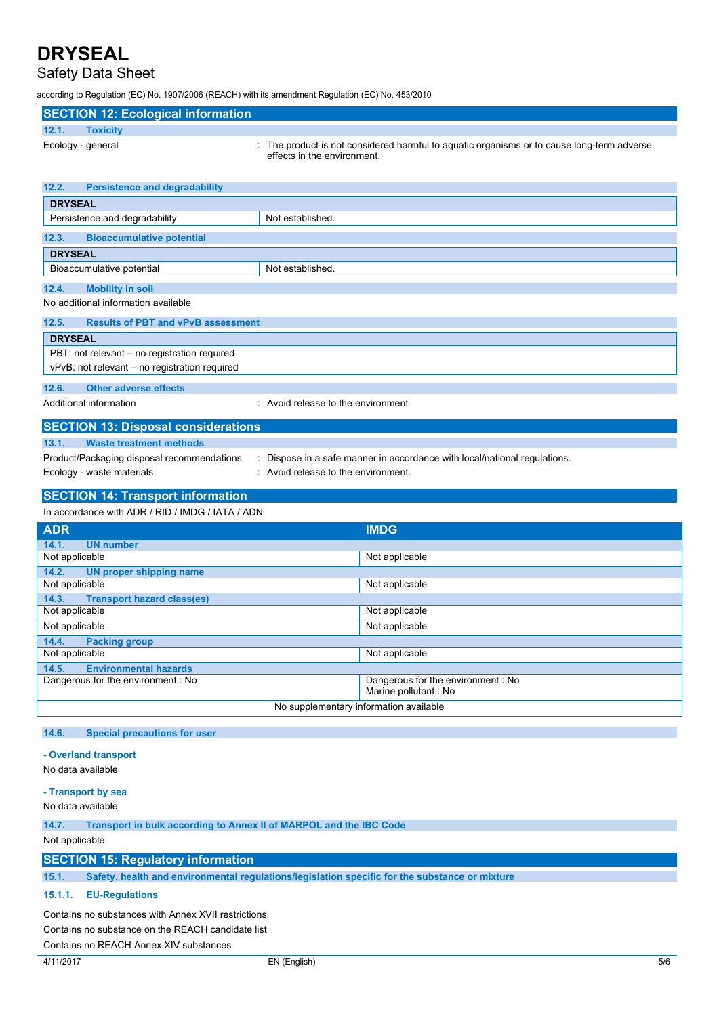# Safety Data Sheet

according to Regulation (EC) No. 1907/2006 (REACH) with its amendment Regulation (EC) No. 453/2010

| <b>SECTION 12: Ecological information</b>          |                                                                                                                           |
|----------------------------------------------------|---------------------------------------------------------------------------------------------------------------------------|
| <b>Toxicity</b><br>12.1.                           |                                                                                                                           |
| Ecology - general                                  | : The product is not considered harmful to aquatic organisms or to cause long-term adverse<br>effects in the environment. |
| <b>Persistence and degradability</b><br>12.2.      |                                                                                                                           |
| <b>DRYSEAL</b>                                     |                                                                                                                           |
| Persistence and degradability                      | Not established.                                                                                                          |
| <b>Bioaccumulative potential</b><br>12.3.          |                                                                                                                           |
| <b>DRYSEAL</b>                                     |                                                                                                                           |
| Bioaccumulative potential                          | Not established.                                                                                                          |
| 12.4.<br><b>Mobility in soil</b>                   |                                                                                                                           |
| No additional information available                |                                                                                                                           |
| 12.5.<br><b>Results of PBT and vPvB assessment</b> |                                                                                                                           |
| <b>DRYSEAL</b>                                     |                                                                                                                           |
| PBT: not relevant – no registration required       |                                                                                                                           |
| vPvB: not relevant - no registration required      |                                                                                                                           |
| <b>Other adverse effects</b><br>12.6.              |                                                                                                                           |
| Additional information                             | : Avoid release to the environment                                                                                        |
| <b>SECTION 13: Disposal considerations</b>         |                                                                                                                           |
| <b>Waste treatment methods</b><br>13.1.            |                                                                                                                           |
| Product/Packaging disposal recommendations         | Dispose in a safe manner in accordance with local/national regulations.                                                   |

Ecology - waste materials **Ecology** - waste materials **interval** : Avoid release to the environment.

#### **SECTION 14: Transport information** In accordance with ADR / RID / IMDG / IATA / ADN

| ill accoluatice with ADIVI IND / IMDO / IATA / ADIV       |  |  |  |  |
|-----------------------------------------------------------|--|--|--|--|
| <b>IMDG</b>                                               |  |  |  |  |
|                                                           |  |  |  |  |
| Not applicable                                            |  |  |  |  |
|                                                           |  |  |  |  |
| Not applicable                                            |  |  |  |  |
|                                                           |  |  |  |  |
| Not applicable                                            |  |  |  |  |
| Not applicable                                            |  |  |  |  |
| 14.4.<br><b>Packing group</b>                             |  |  |  |  |
| Not applicable                                            |  |  |  |  |
|                                                           |  |  |  |  |
| Dangerous for the environment: No<br>Marine pollutant: No |  |  |  |  |
| No supplementary information available                    |  |  |  |  |
|                                                           |  |  |  |  |

### **14.6. Special precautions for user**

#### **- Overland transport**

No data available

#### **- Transport by sea**

No data available

**14.7. Transport in bulk according to Annex II of MARPOL and the IBC Code**

### Not applicable

## **SECTION 15: Regulatory information**

**15.1. Safety, health and environmental regulations/legislation specific for the substance or mixture**

#### **15.1.1. EU-Regulations**

Contains no substances with Annex XVII restrictions Contains no substance on the REACH candidate list

Contains no REACH Annex XIV substances